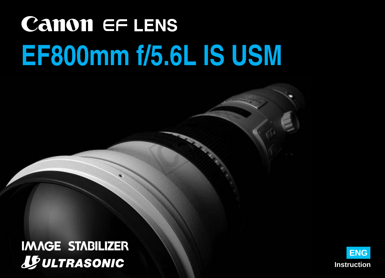# **Canon EF LENS EF800mm f/5.6L IS USM**

COPY OF THE

**IMAGE STABILIZER JE ULTRASONIC** 

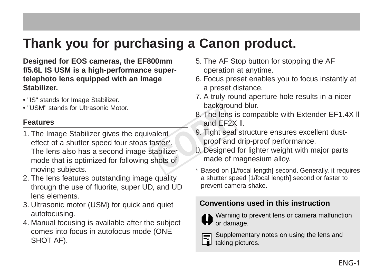### **Thank you for purchasing a Canon product.**

**Designed for EOS cameras, the EF800mm f/5.6L IS USM is a high-performance supertelephoto lens equipped with an Image Stabilizer.**

- "IS" stands for Image Stabilizer.
- "USM" stands for Ultrasonic Motor.

#### **Features**

- 1. The Image Stabilizer gives the equivalent effect of a shutter speed four stops faster\*. The lens also has a second image stabilizer mode that is optimized for following shots of moving subjects. Example of the lens<br>and EF2<br>alent 9. Tight sea<br>aster\*. proof and<br>tabilizer 10. Designed<br>shots of \* Based on [10]
- 2. The lens features outstanding image quality through the use of fluorite, super UD, and UD lens elements.
- 3. Ultrasonic motor (USM) for quick and quiet autofocusing.
- 4. Manual focusing is available after the subject comes into focus in autofocus mode (ONE SHOT AF).
- 5. The AF Stop button for stopping the AF operation at anytime.
- 6. Focus preset enables you to focus instantly at a preset distance.
- 7. A truly round aperture hole results in a nicer background blur.
- 8. The lens is compatible with Extender EF1.4X ll and EF2X ll.
- 9. Tight seal structure ensures excellent dustproof and drip-proof performance.
- 10. Designed for lighter weight with major parts made of magnesium alloy.
- \* Based on [1/focal length] second. Generally, it requires a shutter speed [1/focal length] second or faster to prevent camera shake.

#### **Conventions used in this instruction**



Warning to prevent lens or camera malfunction or damage.



Supplementary notes on using the lens and  $\overline{\mathbf{a}}$  Supplementary<br>taking pictures.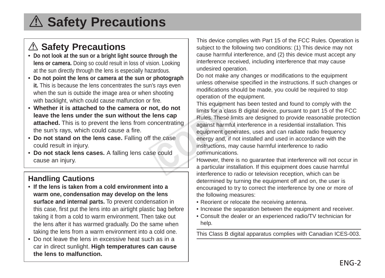## A Safety Precautions

### a **Safety Precautions**

- **Do not look at the sun or a bright light source through the lens or camera.** Doing so could result in loss of vision. Looking at the sun directly through the lens is especially hazardous.
- **Do not point the lens or camera at the sun or photograph it.** This is because the lens concentrates the sun's rays even when the sun is outside the image area or when shooting with backlight, which could cause malfunction or fire.
- **Whether it is attached to the camera or not, do not leave the lens under the sun without the lens cap attached.** This is to prevent the lens from concentrating the sun's rays, which could cause a fire.
- **Do not stand on the lens case.** Falling off the case could result in injury.
- **Do not stack lens cases.** A falling lens case could cause an injury.

#### **Handling Cautions**

- **If the lens is taken from a cold environment into a warm one, condensation may develop on the lens surface and internal parts.** To prevent condensation in this case, first put the lens into an airtight plastic bag before taking it from a cold to warm environment. Then take out the lens after it has warmed gradually. Do the same when taking the lens from a warm environment into a cold one.
- Do not leave the lens in excessive heat such as in a car in direct sunlight. **High temperatures can cause the lens to malfunction.**

This device complies with Part 15 of the FCC Rules. Operation is subject to the following two conditions: (1) This device may not cause harmful interference, and (2) this device must accept any interference received, including interference that may cause undesired operation.

Do not make any changes or modifications to the equipment unless otherwise specified in the instructions. If such changes or modifications should be made, you could be required to stop operation of the equipment.

This equipment has been tested and found to comply with the limits for a class B digital device, pursuant to part 15 of the FCC Rules. These limits are designed to provide reasonable protection against harmful interference in a residential installation. This equipment generates, uses and can radiate radio frequency energy and, if not installed and used in accordance with the instructions, may cause harmful interference to radio communications. or, do not<br>
lens cap<br>
moentrating<br>
moentrating<br>
dia against harm<br>
the case<br>
energy and, if<br>
e could<br>
thowever, there<br>
a particular ins

However, there is no guarantee that interference will not occur in a particular installation. If this equipment does cause harmful interference to radio or television reception, which can be determined by turning the equipment off and on, the user is encouraged to try to correct the interference by one or more of the following measures:

- Reorient or relocate the receiving antenna.
- Increase the separation between the equipment and receiver.
- Consult the dealer or an experienced radio/TV technician for help.

This Class B digital apparatus complies with Canadian ICES-003.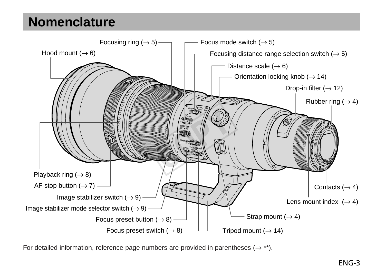### **Nomenclature**



For detailed information, reference page numbers are provided in parentheses  $(\rightarrow$  \*\*).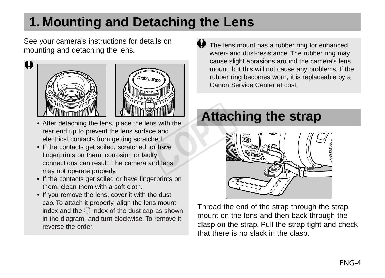## **1. Mounting and Detaching the Lens**

See your camera's instructions for details on mounting and detaching the lens.



- After detaching the lens, place the lens with the rear end up to prevent the lens surface and electrical contacts from getting scratched. S with the<br>
e and<br>
e and<br>
or have<br>
ty<br>
ty<br>
md lens
- If the contacts get soiled, scratched, or have fingerprints on them, corrosion or faulty connections can result. The camera and lens may not operate properly.
- If the contacts get soiled or have fingerprints on them, clean them with a soft cloth.
- If you remove the lens, cover it with the dust cap. To attach it properly, align the lens mount index and the  $\bigcirc$  index of the dust cap as shown in the diagram, and turn clockwise. To remove it, reverse the order

The lens mount has a rubber ring for enhanced water- and dust-resistance. The rubber ring may cause slight abrasions around the camera's lens mount, but this will not cause any problems. If the rubber ring becomes worn, it is replaceable by a Canon Service Center at cost.

### **Attaching the strap**



Thread the end of the strap through the strap mount on the lens and then back through the clasp on the strap. Pull the strap tight and check that there is no slack in the clasp.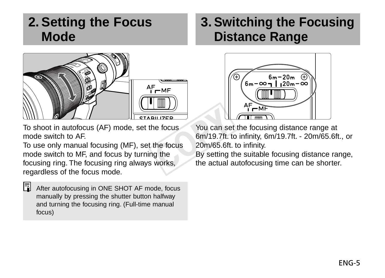### **2. Setting the Focus Mode**



To shoot in autofocus (AF) mode, set the focus mode switch to AF.

To use only manual focusing (MF), set the focus mode switch to MF, and focus by turning the focusing ring. The focusing ring always works, regardless of the focus mode.

 $\frac{1}{2}$  After autofocusing in ONE SHOT AF mode, focus manually by pressing the shutter button halfway and turning the focusing ring. (Full-time manual focus)

### **3. Switching the Focusing Distance Range**



You can set the focusing distance range at 6m/19.7ft. to infinity, 6m/19.7ft. - 20m/65.6ft., or 20m/65.6ft. to infinity. Example 19<br>
Proces Course 19<br>
The focus 20m/65.6ft.<br>
The focus 20m/65.6ft.<br>
The Sy setting the actual and the actual of the actual of the actual of the actual of the actual of the actual of the actual of the actual of the

By setting the suitable focusing distance range, the actual autofocusing time can be shorter.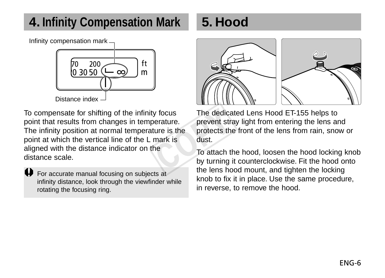### **4. Infinity Compensation Mark**

Infinity compensation mark



To compensate for shifting of the infinity focus point that results from changes in temperature. The infinity position at normal temperature is the point at which the vertical line of the L mark is aligned with the distance indicator on the distance scale. y focus The dedication<br>erature. The protects the<br>mark is dust.<br>he To attach the Way turning<br>the lens ho

 $\bigoplus$  For accurate manual focusing on subjects at infinity distance, look through the viewfinder while rotating the focusing ring.

### **5. Hood**



The dedicated Lens Hood ET-155 helps to prevent stray light from entering the lens and protects the front of the lens from rain, snow or dust.

To attach the hood, loosen the hood locking knob by turning it counterclockwise. Fit the hood onto the lens hood mount, and tighten the locking knob to fix it in place. Use the same procedure, in reverse, to remove the hood.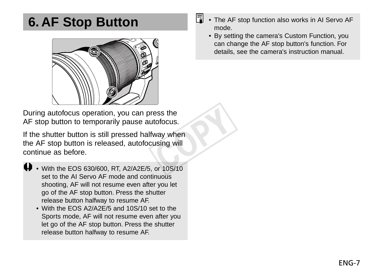### **6. AF Stop Button**



During autofocus operation, you can press the AF stop button to temporarily pause autofocus.

If the shutter button is still pressed halfway when the AF stop button is released, autofocusing will continue as before. ess the<br>tofocus.<br>way when<br>using will<br>or 10S/10

- With the EOS 630/600, RT, A2/A2E/5, or 10S/10 set to the AI Servo AF mode and continuous shooting, AF will not resume even after you let go of the AF stop button. Press the shutter release button halfway to resume AF.
	- With the EOS A2/A2E/5 and 10S/10 set to the Sports mode, AF will not resume even after you let go of the AF stop button. Press the shutter release button halfway to resume AF.
- Ħ • The AF stop function also works in AI Servo AF mode.
	- By setting the camera's Custom Function, you can change the AF stop button's function. For details, see the camera's instruction manual.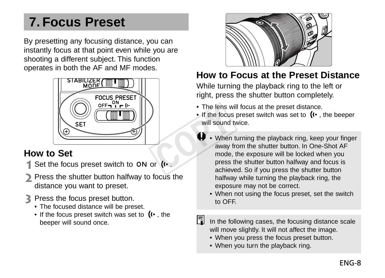### **7. Focus Preset**

By presetting any focusing distance, you can instantly focus at that point even while you are shooting a different subject. This function operates in both the AF and MF modes.



#### **How to Set**

- $\parallel$  Set the focus preset switch to ON or  $\left(\cdots\right)$
- Press the shutter button halfway to focus the distance you want to preset.
- Press the focus preset button.
	- The focused distance will be preset.
	- If the focus preset switch was set to  $(x \cdot)$ , the beeper will sound once.



#### **How to Focus at the Preset Distance**

While turning the playback ring to the left or right, press the shutter button completely.

- The lens will focus at the preset distance.
- If the focus preset switch was set to  $(r \cdot)$ , the beeper will sound twice.
- When turning the playback ring, keep your finger away from the shutter button. In One-Shot AF mode, the exposure will be locked when you press the shutter button halfway and focus is achieved. So if you press the shutter button halfway while turning the playback ring, the exposure may not be correct. Frie focus<br>
If the focus<br>
will sound<br>
When<br>
away<br>
mode,<br>
press<br>
or (t.
	- When not using the focus preset, set the switch to OFF.
	- In the following cases, the focusing distance scale will move slightly. It will not affect the image.
		- When you press the focus preset button.
		- When you turn the playback ring.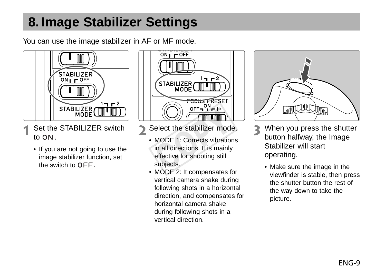### **8. Image Stabilizer Settings**

You can use the image stabilizer in AF or MF mode.



- Set the STABILIZER switch to  $ON$ .
	- If you are not going to use the image stabilizer function, set the switch to OFF.



- $\mathcal{L}$ Select the stabilizer mode.
- MODE 1: Corrects vibrations in all directions. It is mainly effective for shooting still subjects. (CO))  $\boxed{\boxed{\boxed{\phantom{0}0F = 0.00}}$ <br>
Select the stabilizer mode<br>
MODE 1: Corrects vibration<br>
in all directions. It is mainly<br>
stepsics.<br>
MODE 3: It componentes is
	- MODE 2: It compensates for vertical camera shake during following shots in a horizontal direction, and compensates for horizontal camera shake during following shots in a vertical direction.



- When you press the shutter button halfway, the Image Stabilizer will start operating.
	- Make sure the image in the viewfinder is stable, then press the shutter button the rest of the way down to take the picture.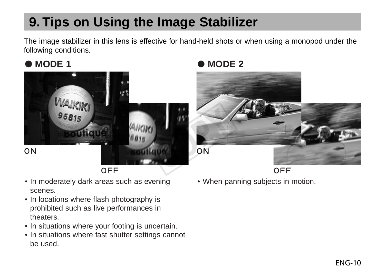## **9. Tips on Using the Image Stabilizer**

The image stabilizer in this lens is effective for hand-held shots or when using a monopod under the following conditions.



**OFF** 

- In moderately dark areas such as evening scenes.
- In locations where flash photography is prohibited such as live performances in theaters.
- In situations where your footing is uncertain.
- In situations where fast shutter settings cannot be used.

### ● MODE 1 ● MODE 2



**OFF** • When panning subjects in motion.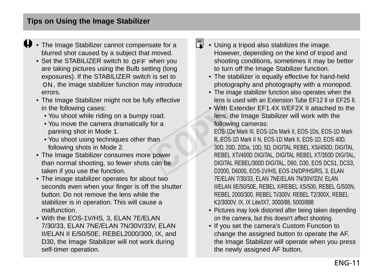- $\bigoplus$  The Image Stabilizer cannot compensate for a blurred shot caused by a subject that moved.
	- $\bullet$  Set the STABILIZER switch to  $\circ$ FF when you are taking pictures using the Bulb setting (long exposures). If the STABILIZER switch is set to , the image stabilizer function may introduce errors.
	- The Image Stabilizer might not be fully effective in the following cases:
		- You shoot while riding on a bumpy road.
		- You move the camera dramatically for a panning shot in Mode 1.
		- You shoot using techniques other than following shots in Mode 2.
	- The Image Stabilizer consumes more power than normal shooting, so fewer shots can be taken if you use the function.
	- The image stabilizer operates for about two seconds even when your finger is off the shutter button. Do not remove the lens while the stabilizer is in operation. This will cause a malfunction.
	- With the EOS-1V/HS, 3, ELAN 7E/ELAN 7/30/33, ELAN 7NE/ELAN 7N/30V/33V, ELAN II/ELAN II E/50/50E, REBEL2000/300, IX, and D30, the Image Stabilizer will not work during self-timer operation.
- $\boxed{5}$  Using a tripod also stabilizes the image. However, depending on the kind of tripod and shooting conditions, sometimes it may be better to turn off the Image Stabilizer function.
	- The stabilizer is equally effective for hand-held photography and photography with a monopod.
	- The image stabilizer function also operates when the lens is used with an Extension Tube EF12 ll or EF25 ll.
	- With Extender FF1.4X II/FF2X II attached to the lens, the Image Stabilizer will work with the following cameras:

EOS-1Ds Mark III, EOS-1Ds Mark II, EOS-1Ds, EOS-1D Mark lll, EOS-1D Mark II N, EOS-1D Mark II, EOS-1D, EOS 40D, 30D, 20D, 20Da, 10D, 5D, DIGITAL REBEL XSi/450D, DIGITAL REBEL XTi/400D DIGITAL, DIGITAL REBEL XT/350D DIGITAL, DIGITAL REBEL/300D DIGITAL, D60, D30, EOS DCS1, DCS3, D2000, D6000, EOS-1V/HS, EOS-1N/DP/HS/RS, 3, ELAN 7E/ELAN 7/30/33, ELAN 7NE/ELAN 7N/30V/33V, ELAN II/ELAN IIE/50/50E, REBEL X/REBEL XS/500, REBEL G/500N, REBEL 2000/300, REBEL Ti/300V, REBEL T2/300X, REBEL K2/3000V, IX, IX Lite/IX7, 3000/88, 5000/888 oad.<br>
or a<br>
following the following<br>
following the following<br>
metal<br>
power<br>
of REBEL<br>
can be<br>
power<br>
DIGITAL<br>
DIGITAL<br>
DIGITAL<br>
POITAL<br>
DIGITAL<br>
POITAL

- Pictures may look distorted after being taken depending on the camera, but this doesn't affect shooting.
- If you set the camera's Custom Function to change the assigned button to operate the AF, the Image Stabilizer will operate when you press the newly assigned AF button.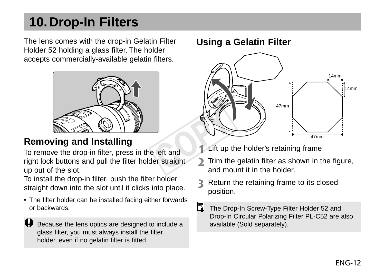### **10.Drop-In Filters**

The lens comes with the drop-in Gelatin Filter Holder 52 holding a glass filter. The holder accepts commercially-available gelatin filters.



To remove the drop-in filter, press in the left and right lock buttons and pull the filter holder straight up out of the slot.

To install the drop-in filter, push the filter holder straight down into the slot until it clicks into place.

• The filter holder can be installed facing either forwards or backwards.

Because the lens optics are designed to include a glass filter, you must always install the filter holder, even if no gelatin filter is fitted.

#### **Using a Gelatin Filter**



- Lift up the holder's retaining frame
- Trim the gelatin filter as shown in the figure, and mount it in the holder.
- Return the retaining frame to its closed position.
- Ħ. The Drop-In Screw-Type Filter Holder 52 and Drop-In Circular Polarizing Filter PL-C52 are also available (Sold separately).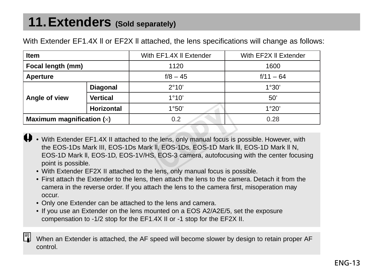### **11.Extenders (Sold separately)**

| Item                        |                 | With EF1.4X II Extender | With EF2X II Extender |  |
|-----------------------------|-----------------|-------------------------|-----------------------|--|
| Focal length (mm)           |                 | 1120                    | 1600                  |  |
| Aperture                    |                 | $f/8 - 45$              | $f/11 - 64$           |  |
|                             | <b>Diagonal</b> | 2°10'                   | 1°30'                 |  |
| Angle of view               | Vertical        | 1°10'                   | 50'                   |  |
|                             | Horizontal      | 1°50'                   | 1°20'                 |  |
| Maximum magnification $(x)$ |                 | 0.2                     | 0.28                  |  |

With Extender EF1.4X II or EF2X II attached, the lens specifications will change as follows:

- With Extender EF1.4X II attached to the lens, only manual focus is possible. However, with the EOS-1Ds Mark III, EOS-1Ds Mark ll, EOS-1Ds, EOS-1D Mark lll, EOS-1D Mark ll N, EOS-1D Mark ll, EOS-1D, EOS-1V/HS, EOS-3 camera, autofocusing with the center focusing point is possible. COPY
	- With Extender EF2X II attached to the lens, only manual focus is possible.
	- First attach the Extender to the lens, then attach the lens to the camera. Detach it from the camera in the reverse order. If you attach the lens to the camera first, misoperation may occur.
	- Only one Extender can be attached to the lens and camera.
	- If you use an Extender on the lens mounted on a EOS A2/A2E/5, set the exposure compensation to -1/2 stop for the EF1.4X II or -1 stop for the EF2X II.

When an Extender is attached, the AF speed will become slower by design to retain proper AF control.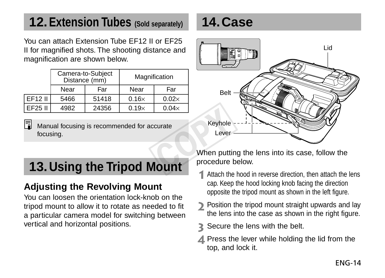### **12.Extension Tubes (Sold separately)**

You can attach Extension Tube EF12 II or EF25 II for magnified shots. The shooting distance and magnification are shown below.

|         |      | Camera-to-Subject<br>Distance (mm) |              | Magnification |  |
|---------|------|------------------------------------|--------------|---------------|--|
|         | Near | Far                                | Near         | Far           |  |
| EF12 II | 5466 | 51418                              | $0.16\times$ | $0.02\times$  |  |
| EF25 II | 4982 | 24356                              | $0.19\times$ | $0.04\times$  |  |

Manual focusing is recommended for accurate focusing.

## **13.Using the Tripod Mount**

### **Adjusting the Revolving Mount**

You can loosen the orientation lock-knob on the tripod mount to allow it to rotate as needed to fit a particular camera model for switching between vertical and horizontal positions.

### **14.Case**



When putting the lens into its case, follow the procedure below.

- Attach the hood in reverse direction, then attach the lens cap. Keep the hood locking knob facing the direction opposite the tripod mount as shown in the left figure.
- Position the tripod mount straight upwards and lay the lens into the case as shown in the right figure.
- Secure the lens with the belt.
- $\triangle$  Press the lever while holding the lid from the top, and lock it.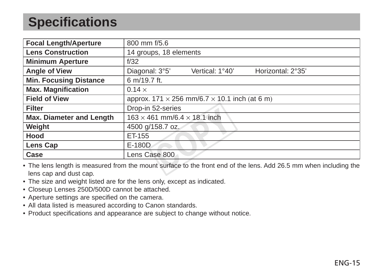### **Specifications**

| <b>Focal Length/Aperture</b>                                                                                      | 800 mm f/5.6                                                |                 |                   |  |  |
|-------------------------------------------------------------------------------------------------------------------|-------------------------------------------------------------|-----------------|-------------------|--|--|
| <b>Lens Construction</b>                                                                                          | 14 groups, 18 elements                                      |                 |                   |  |  |
| <b>Minimum Aperture</b>                                                                                           | f/32                                                        |                 |                   |  |  |
| <b>Angle of View</b>                                                                                              | Diagonal: 3°5'                                              | Vertical: 1°40' | Horizontal: 2°35' |  |  |
| <b>Min. Focusing Distance</b>                                                                                     | 6 m/19.7 ft.                                                |                 |                   |  |  |
| <b>Max. Magnification</b>                                                                                         | $0.14 \times$                                               |                 |                   |  |  |
| <b>Field of View</b>                                                                                              | approx. $171 \times 256$ mm/6.7 $\times$ 10.1 inch (at 6 m) |                 |                   |  |  |
| <b>Filter</b>                                                                                                     | Drop-in 52-series                                           |                 |                   |  |  |
| Max. Diameter and Length                                                                                          | $163 \times 461$ mm/6.4 $\times$ 18.1 inch                  |                 |                   |  |  |
| Weight                                                                                                            | 4500 g/158.7 oz.                                            |                 |                   |  |  |
| Hood                                                                                                              | ET-155                                                      |                 |                   |  |  |
| Lens Cap                                                                                                          | E-180D                                                      |                 |                   |  |  |
| Case                                                                                                              | Lens Case 800                                               |                 |                   |  |  |
| • The lens length is measured from the mount surface to the front end of the lens. Add 26.5 mm when including the |                                                             |                 |                   |  |  |

lens cap and dust cap.

- The size and weight listed are for the lens only, except as indicated.
- Closeup Lenses 250D/500D cannot be attached.
- Aperture settings are specified on the camera.
- All data listed is measured according to Canon standards.
- Product specifications and appearance are subject to change without notice.